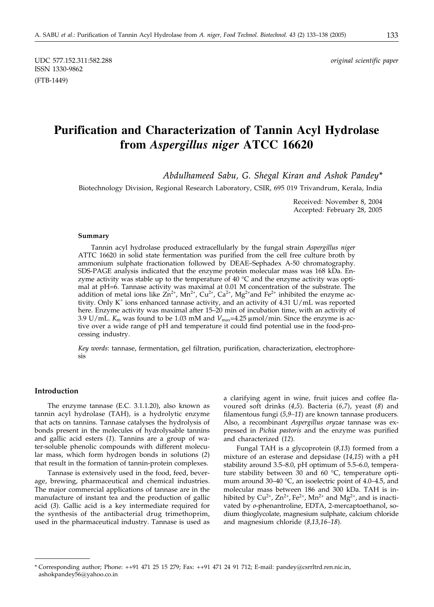UDC 577.152.311:582.288 *original scientific paper* ISSN 1330-9862 (FTB-1449)

# **Purification and Characterization of Tannin Acyl Hydrolase from** *Aspergillus niger* **ATCC 16620**

*Abdulhameed Sabu, G. Shegal Kiran and Ashok Pandey\**

Biotechnology Division, Regional Research Laboratory, CSIR, 695 019 Trivandrum, Kerala, India

Received: November 8, 2004 Accepted: February 28, 2005

#### **Summary**

Tannin acyl hydrolase produced extracellularly by the fungal strain *Aspergillus niger* ATTC 16620 in solid state fermentation was purified from the cell free culture broth by ammonium sulphate fractionation followed by DEAE–Sephadex A-50 chromatography. SDS-PAGE analysis indicated that the enzyme protein molecular mass was 168 kDa. Enzyme activity was stable up to the temperature of  $40^{\circ}$ C and the enzyme activity was optimal at pH=6. Tannase activity was maximal at 0.01 M concentration of the substrate. The addition of metal ions like  $Zn^{2+}$ , Mn<sup>2+</sup>, Cu<sup>2+</sup>, Ca<sup>2+</sup>, Mg<sup>2+</sup>and Fe<sup>2+</sup> inhibited the enzyme activity. Only  $K^+$  ions enhanced tannase activity, and an activity of 4.31 U/mL was reported here. Enzyme activity was maximal after 15–20 min of incubation time, with an activity of 3.9 U/mL.  $K_m$  was found to be 1.03 mM and  $V_{\text{max}}=4.25 \,\mu\text{mol/min}$ . Since the enzyme is active over a wide range of pH and temperature it could find potential use in the food-processing industry.

*Key words*: tannase, fermentation, gel filtration, purification, characterization, electrophoresis

### **Introduction**

The enzyme tannase (E.C. 3.1.1.20), also known as tannin acyl hydrolase (TAH), is a hydrolytic enzyme that acts on tannins. Tannase catalyses the hydrolysis of bonds present in the molecules of hydrolysable tannins and gallic acid esters (*1*). Tannins are a group of water-soluble phenolic compounds with different molecular mass, which form hydrogen bonds in solutions (*2*) that result in the formation of tannin-protein complexes.

Tannase is extensively used in the food, feed, beverage, brewing, pharmaceutical and chemical industries. The major commercial applications of tannase are in the manufacture of instant tea and the production of gallic acid (*3*). Gallic acid is a key intermediate required for the synthesis of the antibacterial drug trimethoprim, used in the pharmaceutical industry. Tannase is used as a clarifying agent in wine, fruit juices and coffee flavoured soft drinks (*4,5*). Bacteria (*6,7*), yeast (*8*) and filamentous fungi (*5,9–11*) are known tannase producers. Also, a recombinant *Aspergillus oryzae* tannase was expressed in *Pichia pastoris* and the enzyme was purified and characterized (*12*).

Fungal TAH is a glycoprotein (*8,13*) formed from a mixture of an esterase and depsidase (*14,15*) with a pH stability around 3.5–8.0, pH optimum of 5.5–6.0, temperature stability between 30 and 60 °C, temperature optimum around 30–40 °C, an isoelectric point of 4.0–4.5, and molecular mass between 186 and 300 kDa. TAH is inhibited by  $Cu^{2+}$ ,  $Zn^{2+}$ ,  $Fe^{2+}$ ,  $Mn^{2+}$  and  $Mg^{2+}$ , and is inactivated by *o*-phenantroline, EDTA, 2-mercaptoethanol, sodium thioglycolate, magnesium sulphate, calcium chloride and magnesium chloride (*8,13,16–18*).

<sup>\*</sup> Corresponding author; Phone: ++91 471 25 15 279; Fax: ++91 471 24 91 712; E-mail: pandey@csrrltrd.ren.nic.in, ashokpandey56@yahoo.co.in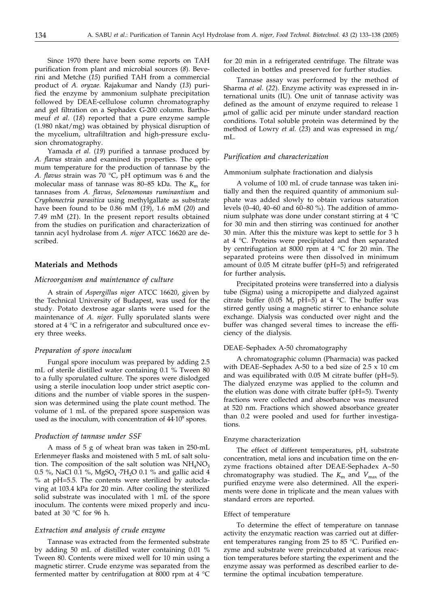Since 1970 there have been some reports on TAH purification from plant and microbial sources (*8*). Beverini and Metche (*15*) purified TAH from a commercial product of *A. oryzae.* Rajakumar and Nandy (*13*) purified the enzyme by ammonium sulphate precipitation followed by DEAE-cellulose column chromatography and gel filtration on a Sephadex G-200 column. Barthomeuf *et al.* (*18*) reported that a pure enzyme sample (1.980 nkat/mg) was obtained by physical disruption of the mycelium, ultrafiltration and high-pressure exclusion chromatography.

Yamada *et al.* (*19*) purified a tannase produced by *A. flavus* strain and examined its properties. The optimum temperature for the production of tannase by the *A. flavus* strain was 70 °C, pH optimum was 6 and the molecular mass of tannase was 80–85 kDa. The  $K<sub>m</sub>$  for tannases from *A. flavus*, *Selenomonas ruminantium* and *Cryphonectria parasitica* using methylgallate as substrate have been found to be 0.86 mM (*19*), 1.6 mM (*20*) and 7.49 mM (*21*). In the present report results obtained from the studies on purification and characterization of tannin acyl hydrolase from *A. niger* ATCC 16620 are described.

#### **Materials and Methods**

#### *Microorganism and maintenance of culture*

A strain of *Aspergillus niger* ATCC 16620, given by the Technical University of Budapest, was used for the study. Potato dextrose agar slants were used for the maintenance of *A. niger*. Fully sporulated slants were stored at 4 °C in a refrigerator and subcultured once every three weeks.

#### *Preparation of spore inoculum*

Fungal spore inoculum was prepared by adding 2.5 mL of sterile distilled water containing 0.1 % Tween 80 to a fully sporulated culture. The spores were dislodged using a sterile inoculation loop under strict aseptic conditions and the number of viable spores in the suspension was determined using the plate count method. The volume of 1 mL of the prepared spore suspension was used as the inoculum, with concentration of  $44.10^9$  spores.

#### *Production of tannase under SSF*

A mass of 5 g of wheat bran was taken in 250-mL Erlenmeyer flasks and moistened with 5 mL of salt solution. The composition of the salt solution was  $NH<sub>4</sub>NO<sub>3</sub>$ 0.5 %, NaCl 0.1 %, MgSO<sub>4</sub> ·7H<sub>2</sub>O 0.1 % and gallic acid 4 % at pH=5.5. The contents were sterilized by autoclaving at 103.4 kPa for 20 min. After cooling the sterilized solid substrate was inoculated with 1 mL of the spore inoculum. The contents were mixed properly and incubated at 30 °C for 96 h.

#### *Extraction and analysis of crude enzyme*

Tannase was extracted from the fermented substrate by adding 50 mL of distilled water containing 0.01 % Tween 80. Contents were mixed well for 10 min using a magnetic stirrer. Crude enzyme was separated from the fermented matter by centrifugation at 8000 rpm at 4 °C

for 20 min in a refrigerated centrifuge. The filtrate was collected in bottles and preserved for further studies.

Tannase assay was performed by the method of Sharma *et al.* (*22*). Enzyme activity was expressed in international units (IU). One unit of tannase activity was defined as the amount of enzyme required to release 1 mmol of gallic acid per minute under standard reaction conditions. Total soluble protein was determined by the method of Lowry *et al.* (*23*) and was expressed in mg/ mL.

#### *Purification and characterization*

Ammonium sulphate fractionation and dialysis

A volume of 100 mL of crude tannase was taken initially and then the required quantity of ammonium sulphate was added slowly to obtain various saturation levels (0–40, 40–60 and 60–80 %). The addition of ammonium sulphate was done under constant stirring at 4 °C for 30 min and then stirring was continued for another 30 min. After this the mixture was kept to settle for 3 h at 4 °C. Proteins were precipitated and then separated by centrifugation at 8000 rpm at 4  $\degree$ C for 20 min. The separated proteins were then dissolved in minimum amount of 0.05 M citrate buffer (pH=5) and refrigerated for further analysis**.**

Precipitated proteins were transferred into a dialysis tube (Sigma) using a micropipette and dialyzed against citrate buffer (0.05 M, pH=5) at 4 °C. The buffer was stirred gently using a magnetic stirrer to enhance solute exchange. Dialysis was conducted over night and the buffer was changed several times to increase the efficiency of the dialysis.

#### DEAE–Sephadex A-50 chromatography

A chromatographic column (Pharmacia) was packed with DEAE–Sephadex A-50 to a bed size of  $2.5 \times 10$  cm and was equilibrated with 0.05 M citrate buffer (pH=5). The dialyzed enzyme was applied to the column and the elution was done with citrate buffer (pH=5). Twenty fractions were collected and absorbance was measured at 520 nm. Fractions which showed absorbance greater than 0.2 were pooled and used for further investigations.

#### Enzyme characterization

The effect of different temperatures, pH, substrate concentration, metal ions and incubation time on the enzyme fractions obtained after DEAE-Sephadex A–50 chromatography was studied. The  $K_{\text{m}}$  and  $V_{\text{max}}$  of the purified enzyme were also determined. All the experiments were done in triplicate and the mean values with standard errors are reported.

#### Effect of temperature

To determine the effect of temperature on tannase activity the enzymatic reaction was carried out at different temperatures ranging from 25 to 85 °C. Purified enzyme and substrate were preincubated at various reaction temperatures before starting the experiment and the enzyme assay was performed as described earlier to determine the optimal incubation temperature.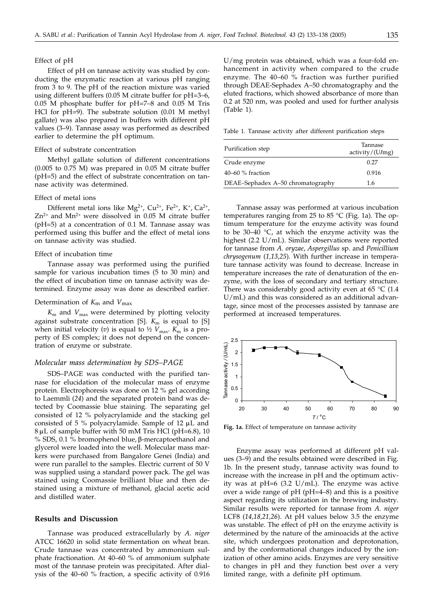#### Effect of pH

Effect of pH on tannase activity was studied by conducting the enzymatic reaction at various pH ranging from 3 to 9. The pH of the reaction mixture was varied using different buffers (0.05 M citrate buffer for pH=3–6, 0.05 M phosphate buffer for pH=7–8 and 0.05 M Tris HCl for pH=9). The substrate solution (0.01 M methyl gallate) was also prepared in buffers with different pH values (3–9). Tannase assay was performed as described earlier to determine the pH optimum.

#### Effect of substrate concentration

Methyl gallate solution of different concentrations (0.005 to 0.75 M) was prepared in 0.05 M citrate buffer (pH=5) and the effect of substrate concentration on tannase activity was determined.

#### Effect of metal ions

Different metal ions like  $Mg^{2+}$ , Cu<sup>2+</sup>, Fe<sup>2+</sup>, K<sup>+</sup>, Ca<sup>2+</sup>,  $Zn^{2+}$  and Mn<sup>2+</sup> were dissolved in 0.05 M citrate buffer (pH=5) at a concentration of 0.1 M. Tannase assay was performed using this buffer and the effect of metal ions on tannase activity was studied.

#### Effect of incubation time

Tannase assay was performed using the purified sample for various incubation times (5 to 30 min) and the effect of incubation time on tannase activity was determined. Enzyme assay was done as described earlier.

#### Determination of *K*m and *V*max

 $K<sub>m</sub>$  and  $V<sub>max</sub>$  were determined by plotting velocity against substrate concentration [S].  $K<sub>m</sub>$  is equal to [S] when initial velocity (*v*) is equal to  $\frac{1}{2}$   $V_{\text{max}}$ .  $K_{\text{m}}$  is a property of ES complex; it does not depend on the concentration of enzyme or substrate.

#### *Molecular mass determination by SDS–PAGE*

SDS–PAGE was conducted with the purified tannase for elucidation of the molecular mass of enzyme protein. Electrophoresis was done on 12 % gel according to Laemmli (*24*) and the separated protein band was detected by Coomassie blue staining. The separating gel consisted of 12 % polyacrylamide and the stacking gel consisted of 5  $\%$  polyacrylamide. Sample of 12  $\mu$ L and  $8 \mu$ L of sample buffer with 50 mM Tris HCl (pH=6.8), 10 % SDS, 0.1 % bromophenol blue, β-mercaptoethanol and glycerol were loaded into the well. Molecular mass markers were purchased from Bangalore Genei (India) and were run parallel to the samples. Electric current of 50 V was supplied using a standard power pack. The gel was stained using Coomassie brilliant blue and then destained using a mixture of methanol, glacial acetic acid and distilled water.

#### **Results and Discussion**

Tannase was produced extracellularly by *A. niger* ATCC 16620 in solid state fermentation on wheat bran. Crude tannase was concentrated by ammonium sulphate fractionation. At 40–60 % of ammonium sulphate most of the tannase protein was precipitated. After dialysis of the 40–60 % fraction, a specific activity of 0.916

U/mg protein was obtained, which was a four-fold enhancement in activity when compared to the crude enzyme. The 40–60 % fraction was further purified through DEAE-Sephadex A–50 chromatography and the eluted fractions, which showed absorbance of more than 0.2 at 520 nm, was pooled and used for further analysis (Table 1).

Table 1. Tannase activity after different purification steps

| Purification step                 | Tannase<br>activity/(U/mg) |  |
|-----------------------------------|----------------------------|--|
| Crude enzyme                      | 0.27                       |  |
| $40-60$ % fraction                | 0.916                      |  |
| DEAE-Sephadex A-50 chromatography | 1.6                        |  |

Tannase assay was performed at various incubation temperatures ranging from 25 to 85 °C (Fig. 1a). The optimum temperature for the enzyme activity was found to be 30–40  $\degree$ C, at which the enzyme activity was the highest (2.2 U/mL). Similar observations were reported for tannase from *A. oryzae*, *Aspergillus* sp. and *Penicillium chrysogenum* (*1,13,25*). With further increase in temperature tannase activity was found to decrease. Increase in temperature increases the rate of denaturation of the enzyme, with the loss of secondary and tertiary structure. There was considerably good activity even at 65  $\degree$ C (1.4 U/mL) and this was considered as an additional advantage, since most of the processes assisted by tannase are performed at increased temperatures.



**Fig. 1a.** Effect of temperature on tannase activity

Enzyme assay was performed at different pH values (3–9) and the results obtained were described in Fig. 1b. In the present study, tannase activity was found to increase with the increase in pH and the optimum activity was at  $pH=6$  (3.2 U/mL). The enzyme was active over a wide range of pH (pH=4–8) and this is a positive aspect regarding its utilization in the brewing industry. Similar results were reported for tannase from *A. niger* LCF8 (*14,18,21,26*). At pH values below 3.5 the enzyme was unstable. The effect of pH on the enzyme activity is determined by the nature of the aminoacids at the active site, which undergoes protonation and deprotonation, and by the conformational changes induced by the ionization of other amino acids. Enzymes are very sensitive to changes in pH and they function best over a very limited range, with a definite pH optimum.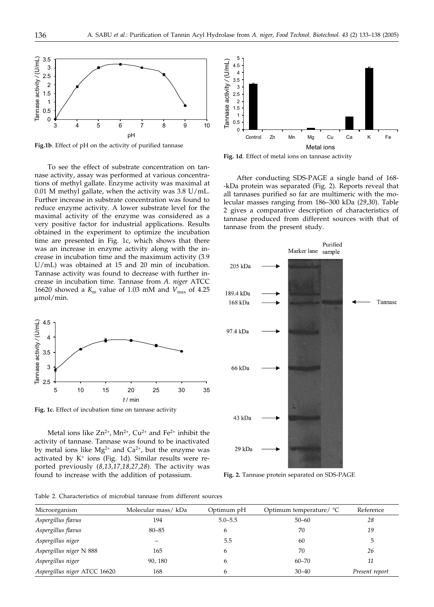

**Fig.1b**. Effect of pH on the activity of purified tannase

To see the effect of substrate concentration on tannase activity, assay was performed at various concentrations of methyl gallate. Enzyme activity was maximal at 0.01 M methyl gallate, when the activity was 3.8 U/mL. Further increase in substrate concentration was found to reduce enzyme activity. A lower substrate level for the maximal activity of the enzyme was considered as a very positive factor for industrial applications. Results obtained in the experiment to optimize the incubation time are presented in Fig. 1c, which shows that there was an increase in enzyme activity along with the increase in incubation time and the maximum activity (3.9 U/mL) was obtained at 15 and 20 min of incubation. Tannase activity was found to decrease with further increase in incubation time. Tannase from *A. niger* ATCC 16620 showed a  $K_m$  value of 1.03 mM and  $V_{\text{max}}$  of 4.25  $\mu$ mol/min.



**Fig. 1c.** Effect of incubation time on tannase activity

Metal ions like  $Zn^{2+}$ , Mn<sup>2+</sup>, Cu<sup>2+</sup> and Fe<sup>2+</sup> inhibit the activity of tannase. Tannase was found to be inactivated by metal ions like  $Mg^{2+}$  and  $Ca^{2+}$ , but the enzyme was activated by  $K^+$  ions (Fig. 1d). Similar results were reported previously (*8,13,17,18,27,28*). The activity was found to increase with the addition of potassium.



Metal ions **Fig. 1d**. Effect of metal ions on tannase activity

After conducting SDS-PAGE a single band of 168- -kDa protein was separated (Fig. 2). Reports reveal that all tannases purified so far are multimeric with the molecular masses ranging from 186–300 kDa (*29,30*). Table 2 gives a comparative description of characteristics of tannase produced from different sources with that of tannase from the present study.



**Fig. 2.** Tannase protein separated on SDS-PAGE

Table 2. Characteristics of microbial tannase from different sources

| Microorganism                | Molecular mass/kDa | Optimum pH  | Optimum temperature/ $°C$ | Reference      |
|------------------------------|--------------------|-------------|---------------------------|----------------|
| Aspergillus flavus           | 194                | $5.0 - 5.5$ | $50 - 60$                 | 28             |
| Aspergillus flavus           | $80 - 85$          |             | 70                        | 19             |
| Aspergillus niger            |                    | 5.5         | 60                        |                |
| Aspergillus niger N 888      | 165                |             | 70                        | 26             |
| Aspergillus niger            | 90, 180            |             | $60 - 70$                 | 11             |
| Aspergillus niger ATCC 16620 | 168                |             | $30 - 40$                 | Present report |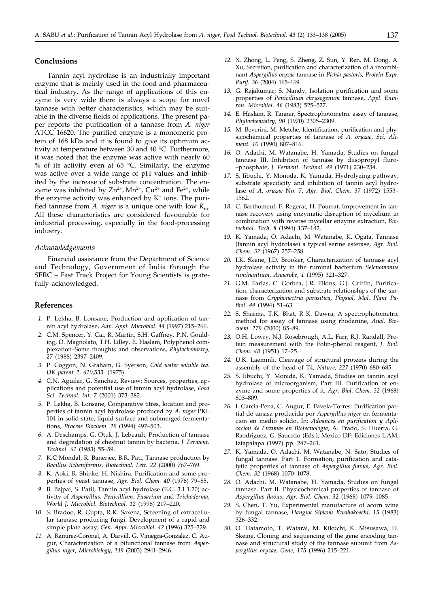#### **Conclusions**

Tannin acyl hydrolase is an industrially important enzyme that is mainly used in the food and pharmaceutical industry. As the range of applications of this enzyme is very wide there is always a scope for novel tannase with better characteristics, which may be suitable in the diverse fields of applications. The present paper reports the purification of a tannase from *A. niger* ATCC 16620. The purified enzyme is a monomeric protein of 168 kDa and it is found to give its optimum activity at temperature between 30 and 40 °C. Furthermore, it was noted that the enzyme was active with nearly 60 % of its activity even at 65  $°C$ . Similarly, the enzyme was active over a wide range of pH values and inhibited by the increase of substrate concentration. The enzyme was inhibited by  $Zn^{2+}$ , Mn<sup>2+</sup>, Cu<sup>2+</sup> and Fe<sup>2+</sup>, while the enzyme activity was enhanced by  $K^+$  ions. The purified tannase from *A. niger* is a unique one with low *K*m. All these characteristics are considered favourable for industrial processing, especially in the food-processing industry.

#### *Acknowledgements*

Financial assistance from the Department of Science and Technology, Government of India through the SERC – Fast Track Project for Young Scientists is gratefully acknowledged.

#### **References**

- *1.* P. Lekha, B. Lonsane, Production and application of tannin acyl hydrolase, *Adv. Appl. Microbiol*. *44* (1997) 215–266.
- *2.* C.M. Spencer, Y. Cai, R. Martin, S.H. Gaffney, P.N. Goulding, D. Magnolato, T.H. Lilley, E. Haslam, Polyphenol complexation–Some thoughts and observations, *Phytochemistry, 27* (1988) 2397–2409.
- *3.* P. Coggon, N. Graham, G. Syerson, *Cold water soluble tea. UK patent 2, 610,533*. (1975).
- *4.* C.N. Aguilar, G. Sanchez, Review: Sources, properties, applications and potential use of tannin acyl hydrolase, *Food Sci. Technol. Int. 7* (2001) 373–382.
- *5.* P. Lekha, B. Lonsane, Comparative titres, location and properties of tannin acyl hydrolase produced by *A. niger* PKL 104 in solid-state, liquid surface and submerged fermentations, *Process Biochem*. *29* (1994) 497–503.
- *6.* A. Deschamps, G. Otuk, J. Lebeault, Production of tannase and degradation of chestnut tannin by bacteria, *J. Ferment. Technol*. *61* (1983) 55–59.
- *7.* K.C Mondal, R. Banerjee, B.R. Pati, Tannase production by *Bacillus licheniformis, Biotechnol. Lett. 22* (2000) 767–769.
- *8.* K. Aoki, R. Shinke, H. Nishira, Purification and some properties of yeast tannase, *Agr. Biol. Chem. 40* (1976) 79–85.
- *9.* B. Bajpai, S. Patil, Tannin acyl hydrolase (E.C. 3.1.1.20) activity of *Aspergillus, Penicillium, Fusarium* and *Trichoderma*, *World J. Microbiol. Biotechnol. 12* (1996) 217–220.
- *10.* S. Bradoo, R. Gupta, R.K. Saxena, Screening of extracellular tannase producing fungi. Development of a rapid and simple plate assay, *Gen. Appl. Microbiol. 42* (1996) 325–329.
- *11.* A. Ramirez-Coronel, A. Darvill, G. Viniegra-Gonzalez, C. Augur, Characterization of a bifunctional tannase from *Aspergillus niger, Microbiology*, *149* (2003) 2941–2946.
- *12.* X. Zhong, L. Peng, S. Zheng, Z. Sun, Y. Ren, M. Dong, A. Xu, Secretion, purification and characterization of a recombinant *Aspergillus oryzae* tannase in *Pichia pastoris*, *Protein Expr. Purif. 36* (2004) 165–169.
- *13.* G. Rajakumar, S. Nandy, Isolation purification and some properties of *Penicillium chrysogenum* tannase, *Appl. Environ. Microbiol*. *46* (1983) 525–527.
- *14.* E. Haslam, R. Tanner, Spectrophotometric assay of tannase, *Phytochemistry*, *90* (1970) 2305–2309.
- *15.* M. Beverini, M. Metche, Identification, purification and physicochemical properties of tannase of *A. oryzae, Sci. Aliment. 10* (1990) 807–816.
- *16.* O. Adachi, M. Watanabe, H. Yamada, Studies on fungal tannase III. Inhibition of tannase by diisopropyl fluro- –phosphate, *J. Ferment. Technol*. *49* (1971) 230–234.
- *17.* S. Iibuchi, Y. Monoda, K. Yamada, Hydrolyzing pathway, substrate specificity and inhibition of tannin acyl hydrolase of *A. oryzae* No. 7, *Agr. Biol. Chem*. *37* (1972) 1553– 1562.
- *18.* C. Barthomeuf, F. Regerat, H. Pourrat, Improvement in tannase recovery using enzymatic disruption of mycelium in combination with reverse mycellar enzyme extraction, *Biotechnol. Tech*. *8* (1994) 137–142.
- *19.* K. Yamada, O. Adachi, M. Watanabe, K. Ogata, Tannase (tannin acyl hydrolase) a typical serine esterase, *Agr. Biol. Chem. 32* (1967) 257–258.
- *20.* I.K. Skene, J.D. Brooker, Characterization of tannase acyl hydrolase activity in the ruminal bacterium *Selenomonus ruminantium, Anaerobe, 1* (1995) 321–327.
- *21.* G.M. Farias, C. Gorbea, J.R. Elkins, G.J. Griffin, Purification, characterization and substrate relationships of the tannase from *Cryphonectria parasitica, Physiol. Mol. Plant Pathol. 44* (1994) 51–63.
- *22.* S. Sharma, T.K. Bhat, R K. Dawra, A spectrophotometric method for assay of tannase using rhodanine, *Anal. Biochem. 279* (2000) 85–89.
- *23.* O.H. Lowry, N.J. Rosebrough, A.L. Farr, R.J. Randall, Protein measurement with the Folin-phenol reagent, *J. Biol. Chem. 48* (1951) 17–25.
- *24.* U.K. Laemmli, Cleavage of structural proteins during the assembly of the head of T4, *Nature, 227* (1970) 680–685.
- *25.* S. Iibuchi, Y. Monida, K. Yamada, Studies on tannin acyl hydrolase of microorganism, Part III. Purification of enzyme and some properties of it, *Agr. Biol. Chem. 32* (1968) 803–809.
- *26.* I. Garcia-Pena, C. Augur, E. Favela-Torres: Purification partial de tanasa producida por *Aspergillus niger* en fermentacion en medio solido. In: *Advances en purification y Aplicacion de Enzimas en Biotecnologia*, A. Prado, S. Huerta, G. Raodriguez, G. Saucedo (Eds.), Mexico DF: Ediciones UAM, Iztapalapa (1997) pp. 247–261.
- *27.* K. Yamada, O. Adachi, M. Watanabe, N. Sato, Studies of fungal tannase. Part 1. Formation, purification and catalytic properties of tannase of *Aspergillus flavus, Agr. Biol. Chem. 32* (1968) 1070–1078.
- *28.* O. Adachi, M. Watanabe, H. Yamada, Studies on fungal tannase. Part II. Physicochemical properties of tannase of *Aspergillus flavus*, *Agr. Biol. Chem. 32* (1968) 1079–1085.
- *29.* S. Chen, T. Yu, Experimental manufacture of acorn wine by fungal tannase, *Hanguk Sipkom Kwahakoechi, 15* (1983) 326–332.
- *30.* O. Hatamoto, T. Watarai, M. Kikuchi, K. Misusawa, H. Skeine, Cloning and sequencing of the gene encoding tannase and structural study of the tannase subunit from *Aspergillus oryzae*, *Gene, 175* (1996) 215–221.